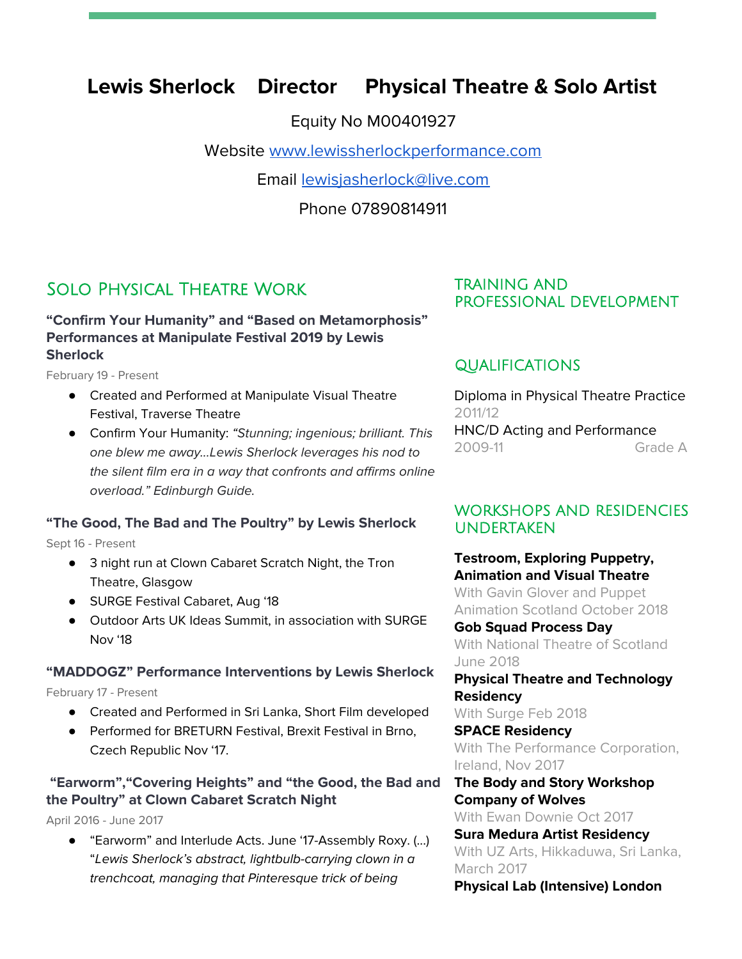# **Lewis Sherlock Director Physical Theatre & Solo Artist**

Equity No M00401927

Website [www.lewissherlockperformance.com](http://www.lewissherlockperformance.com/)

Email [lewisjasherlock@live.com](mailto:lewisjasherlock@live.com)

Phone 07890814911

# Solo Physical Theatre Work

# **"Confirm Your Humanity" and "Based on Metamorphosis" Performances at Manipulate Festival 2019 by Lewis Sherlock**

February 19 - Present

- Created and Performed at Manipulate Visual Theatre Festival, Traverse Theatre
- Confirm Your Humanity: "Stunning; ingenious; brilliant. This one blew me away...Lewis Sherlock leverages his nod to the silent film era in a way that confronts and affirms online overload." Edinburgh Guide.

# **"The Good, The Bad and The Poultry" by Lewis Sherlock**

Sept 16 - Present

- 3 night run at Clown Cabaret Scratch Night, the Tron Theatre, Glasgow
- SURGE Festival Cabaret, Aug '18
- Outdoor Arts UK Ideas Summit, in association with SURGE Nov '18

#### **"MADDOGZ" Performance Interventions by Lewis Sherlock**

#### February 17 - Present

- Created and Performed in Sri Lanka, Short Film developed
- Performed for BRETURN Festival, Brexit Festival in Brno, Czech Republic Nov '17.

# **"Earworm","Covering Heights" and "the Good, the Bad and the Poultry" at Clown Cabaret Scratch Night**

April 2016 - June 2017

● "Earworm" and Interlude Acts. June '17-Assembly Roxy. (...) "Lewis Sherlock's abstract, lightbulb-carrying clown in a trenchcoat, managing that Pinteresque trick of being

# TRAINING AND PROFESSIONAL DEVELOPMENT

# QUALIFICATIONS

Diploma in Physical Theatre Practice 2011/12 HNC/D Acting and Performance 2009-11 Grade A

# WORKSHOPS AND RESIDENCIES UNDERTAKEN

**Testroom, Exploring Puppetry, Animation and Visual Theatre** With Gavin Glover and Puppet Animation Scotland October 2018 **Gob Squad Process Day** With National Theatre of Scotland June 2018

**Physical Theatre and Technology Residency**

With Surge Feb 2018

**SPACE Residency** With The Performance Corporation, Ireland, Nov 2017

**The Body and Story Workshop Company of Wolves** With Ewan Downie Oct 2017

**Sura Medura Artist Residency** With UZ Arts, Hikkaduwa, Sri Lanka, March 2017 **Physical Lab (Intensive) London**